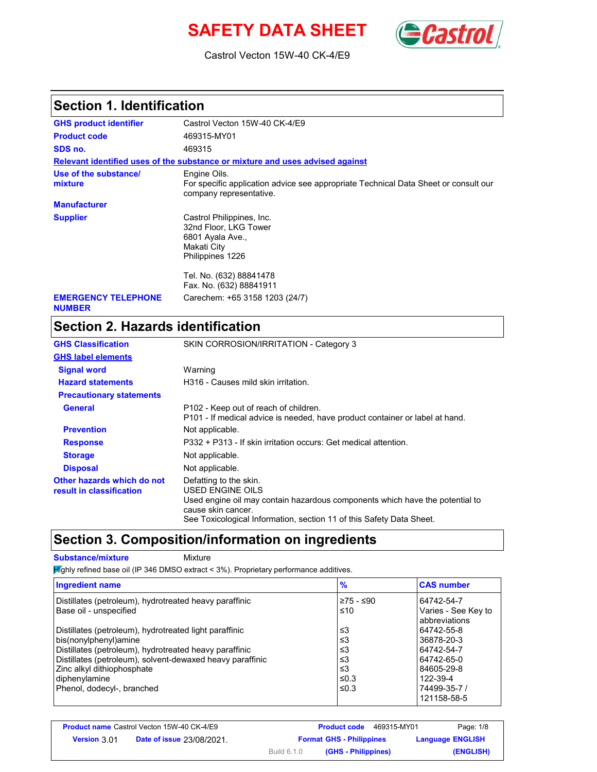# **SAFETY DATA SHEET** *Castrol*



Castrol Vecton 15W-40 CK-4/E9

### **Section 1. Identification**

| <b>GHS product identifier</b>               | Castrol Vecton 15W-40 CK-4/E9                                                                                                  |
|---------------------------------------------|--------------------------------------------------------------------------------------------------------------------------------|
| <b>Product code</b>                         | 469315-MY01                                                                                                                    |
| SDS no.                                     | 469315                                                                                                                         |
|                                             | Relevant identified uses of the substance or mixture and uses advised against                                                  |
| Use of the substance/<br>mixture            | Engine Oils.<br>For specific application advice see appropriate Technical Data Sheet or consult our<br>company representative. |
| <b>Manufacturer</b>                         |                                                                                                                                |
| <b>Supplier</b>                             | Castrol Philippines, Inc.<br>32nd Floor, LKG Tower<br>6801 Ayala Ave.,<br>Makati City<br>Philippines 1226                      |
|                                             | Tel. No. (632) 88841478<br>Fax. No. (632) 88841911                                                                             |
| <b>EMERGENCY TELEPHONE</b><br><b>NUMBER</b> | Carechem: +65 3158 1203 (24/7)                                                                                                 |

## **Section 2. Hazards identification**

| <b>GHS Classification</b>                              | SKIN CORROSION/IRRITATION - Category 3                                                                                                           |  |  |
|--------------------------------------------------------|--------------------------------------------------------------------------------------------------------------------------------------------------|--|--|
| <b>GHS label elements</b>                              |                                                                                                                                                  |  |  |
| <b>Signal word</b>                                     | Warning                                                                                                                                          |  |  |
| <b>Hazard statements</b>                               | H316 - Causes mild skin irritation.                                                                                                              |  |  |
| <b>Precautionary statements</b>                        |                                                                                                                                                  |  |  |
| General                                                | P102 - Keep out of reach of children.<br>P101 - If medical advice is needed, have product container or label at hand.                            |  |  |
| <b>Prevention</b>                                      | Not applicable.                                                                                                                                  |  |  |
| <b>Response</b>                                        | P332 + P313 - If skin irritation occurs: Get medical attention.                                                                                  |  |  |
| <b>Storage</b>                                         | Not applicable.                                                                                                                                  |  |  |
| <b>Disposal</b>                                        | Not applicable.                                                                                                                                  |  |  |
| Other hazards which do not<br>result in classification | Defatting to the skin.<br>USED ENGINE OILS<br>Used engine oil may contain hazardous components which have the potential to<br>cause skin cancer. |  |  |
|                                                        | See Toxicological Information, section 11 of this Safety Data Sheet.                                                                             |  |  |

### **Section 3. Composition/information on ingredients**

**Substance/mixture Mixture** 

Highly refined base oil (IP 346 DMSO extract < 3%). Proprietary performance additives.

| <b>Ingredient name</b>                                    | $\frac{9}{6}$ | <b>CAS number</b>                    |
|-----------------------------------------------------------|---------------|--------------------------------------|
| Distillates (petroleum), hydrotreated heavy paraffinic    | $≥75 - ≤90$   | 64742-54-7                           |
| Base oil - unspecified                                    | ≤10           | Varies - See Key to<br>abbreviations |
| Distillates (petroleum), hydrotreated light paraffinic    | ≤3            | 64742-55-8                           |
| bis(nonylphenyl)amine                                     | ≤3            | 36878-20-3                           |
| Distillates (petroleum), hydrotreated heavy paraffinic    | ≤3            | 64742-54-7                           |
| Distillates (petroleum), solvent-dewaxed heavy paraffinic | ≤3            | 64742-65-0                           |
| Zinc alkyl dithiophosphate                                | ≤3            | 84605-29-8                           |
| diphenylamine                                             | ≤0.3          | 122-39-4                             |
| Phenol, dodecyl-, branched                                | $\leq 0.3$    | 74499-35-7 /<br>121158-58-5          |

| <b>Product name Castrol Vecton 15W-40 CK-4/E9</b> |                                  |             | <b>Product code</b><br>469315-MY01 | Page: 1/8               |
|---------------------------------------------------|----------------------------------|-------------|------------------------------------|-------------------------|
| <b>Version 3.01</b>                               | <b>Date of issue 23/08/2021.</b> |             | <b>Format GHS - Philippines</b>    | <b>Language ENGLISH</b> |
|                                                   |                                  | Build 6.1.0 | (GHS - Philippines)                | (ENGLISH)               |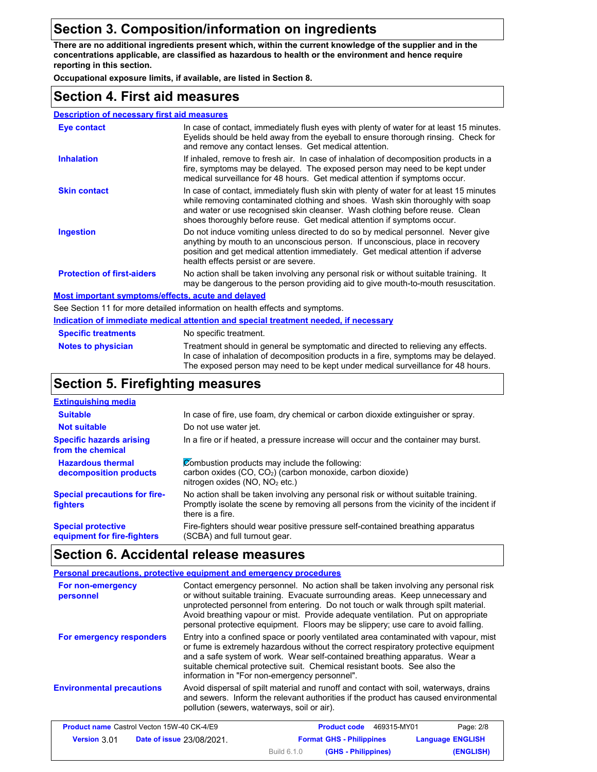### **Section 3. Composition/information on ingredients**

**There are no additional ingredients present which, within the current knowledge of the supplier and in the concentrations applicable, are classified as hazardous to health or the environment and hence require reporting in this section.**

**Occupational exposure limits, if available, are listed in Section 8.**

### **Section 4. First aid measures**

| <b>Description of necessary first aid measures</b> |                                                                                                                                                                                                                                                                                                                                      |
|----------------------------------------------------|--------------------------------------------------------------------------------------------------------------------------------------------------------------------------------------------------------------------------------------------------------------------------------------------------------------------------------------|
| Eye contact                                        | In case of contact, immediately flush eyes with plenty of water for at least 15 minutes.<br>Eyelids should be held away from the eyeball to ensure thorough rinsing. Check for<br>and remove any contact lenses. Get medical attention.                                                                                              |
| <b>Inhalation</b>                                  | If inhaled, remove to fresh air. In case of inhalation of decomposition products in a<br>fire, symptoms may be delayed. The exposed person may need to be kept under<br>medical surveillance for 48 hours. Get medical attention if symptoms occur.                                                                                  |
| <b>Skin contact</b>                                | In case of contact, immediately flush skin with plenty of water for at least 15 minutes<br>while removing contaminated clothing and shoes. Wash skin thoroughly with soap<br>and water or use recognised skin cleanser. Wash clothing before reuse. Clean<br>shoes thoroughly before reuse. Get medical attention if symptoms occur. |
| <b>Ingestion</b>                                   | Do not induce vomiting unless directed to do so by medical personnel. Never give<br>anything by mouth to an unconscious person. If unconscious, place in recovery<br>position and get medical attention immediately. Get medical attention if adverse<br>health effects persist or are severe.                                       |
| <b>Protection of first-aiders</b>                  | No action shall be taken involving any personal risk or without suitable training. It<br>may be dangerous to the person providing aid to give mouth-to-mouth resuscitation.                                                                                                                                                          |
| Most important symptoms/effects, acute and delayed |                                                                                                                                                                                                                                                                                                                                      |
|                                                    |                                                                                                                                                                                                                                                                                                                                      |

See Section 11 for more detailed information on health effects and symptoms.

**Indication of immediate medical attention and special treatment needed, if necessary**

| <b>Specific treatments</b> | No specific treatment.                                                                                                                                                                                                                                      |
|----------------------------|-------------------------------------------------------------------------------------------------------------------------------------------------------------------------------------------------------------------------------------------------------------|
| <b>Notes to physician</b>  | Treatment should in general be symptomatic and directed to relieving any effects.<br>In case of inhalation of decomposition products in a fire, symptoms may be delayed.<br>The exposed person may need to be kept under medical surveillance for 48 hours. |

### **Section 5. Firefighting measures**

| <b>Extinguishing media</b>                               |                                                                                                                                                                                                   |
|----------------------------------------------------------|---------------------------------------------------------------------------------------------------------------------------------------------------------------------------------------------------|
| <b>Suitable</b>                                          | In case of fire, use foam, dry chemical or carbon dioxide extinguisher or spray.                                                                                                                  |
| <b>Not suitable</b>                                      | Do not use water jet.                                                                                                                                                                             |
| <b>Specific hazards arising</b><br>from the chemical     | In a fire or if heated, a pressure increase will occur and the container may burst.                                                                                                               |
| <b>Hazardous thermal</b><br>decomposition products       | Combustion products may include the following:<br>carbon oxides (CO, CO <sub>2</sub> ) (carbon monoxide, carbon dioxide)<br>nitrogen oxides (NO, NO <sub>2</sub> etc.)                            |
| <b>Special precautions for fire-</b><br>fighters         | No action shall be taken involving any personal risk or without suitable training.<br>Promptly isolate the scene by removing all persons from the vicinity of the incident if<br>there is a fire. |
| <b>Special protective</b><br>equipment for fire-fighters | Fire-fighters should wear positive pressure self-contained breathing apparatus<br>(SCBA) and full turnout gear.                                                                                   |

## **Section 6. Accidental release measures**

|                                  | Personal precautions, protective equipment and emergency procedures                                                                                                                                                                                                                                                                                                                                                               |
|----------------------------------|-----------------------------------------------------------------------------------------------------------------------------------------------------------------------------------------------------------------------------------------------------------------------------------------------------------------------------------------------------------------------------------------------------------------------------------|
| For non-emergency<br>personnel   | Contact emergency personnel. No action shall be taken involving any personal risk<br>or without suitable training. Evacuate surrounding areas. Keep unnecessary and<br>unprotected personnel from entering. Do not touch or walk through spilt material.<br>Avoid breathing vapour or mist. Provide adequate ventilation. Put on appropriate<br>personal protective equipment. Floors may be slippery; use care to avoid falling. |
| For emergency responders         | Entry into a confined space or poorly ventilated area contaminated with vapour, mist<br>or fume is extremely hazardous without the correct respiratory protective equipment<br>and a safe system of work. Wear self-contained breathing apparatus. Wear a<br>suitable chemical protective suit. Chemical resistant boots. See also the<br>information in "For non-emergency personnel".                                           |
| <b>Environmental precautions</b> | Avoid dispersal of spilt material and runoff and contact with soil, waterways, drains<br>and sewers. Inform the relevant authorities if the product has caused environmental<br>pollution (sewers, waterways, soil or air).                                                                                                                                                                                                       |

|                     | <b>Product name Castrol Vecton 15W-40 CK-4/E9</b> | <b>Product code</b>                | 469315-MY01 | Page: 2/8               |
|---------------------|---------------------------------------------------|------------------------------------|-------------|-------------------------|
| <b>Version 3.01</b> | <b>Date of issue 23/08/2021.</b>                  | <b>Format GHS - Philippines</b>    |             | <b>Language ENGLISH</b> |
|                     |                                                   | Build 6.1.0<br>(GHS - Philippines) |             | (ENGLISH)               |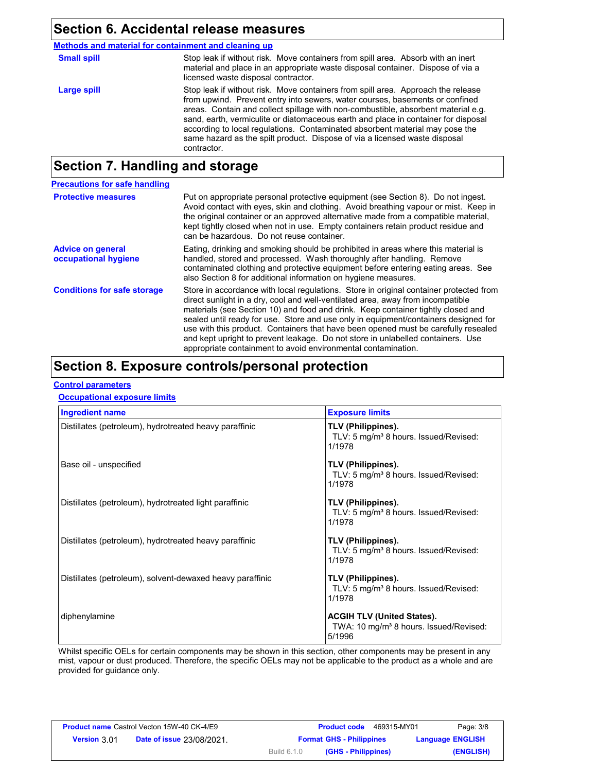### **Section 6. Accidental release measures**

**Methods and material for containment and cleaning up**

| <b>Small spill</b> | Stop leak if without risk. Move containers from spill area. Absorb with an inert<br>material and place in an appropriate waste disposal container. Dispose of via a<br>licensed waste disposal contractor.                                                                                                                                                                                                                                                                                                               |
|--------------------|--------------------------------------------------------------------------------------------------------------------------------------------------------------------------------------------------------------------------------------------------------------------------------------------------------------------------------------------------------------------------------------------------------------------------------------------------------------------------------------------------------------------------|
| Large spill        | Stop leak if without risk. Move containers from spill area. Approach the release<br>from upwind. Prevent entry into sewers, water courses, basements or confined<br>areas. Contain and collect spillage with non-combustible, absorbent material e.g.<br>sand, earth, vermiculite or diatomaceous earth and place in container for disposal<br>according to local regulations. Contaminated absorbent material may pose the<br>same hazard as the spilt product. Dispose of via a licensed waste disposal<br>contractor. |
|                    |                                                                                                                                                                                                                                                                                                                                                                                                                                                                                                                          |

## **Section 7. Handling and storage**

| <b>Precautions for safe handling</b>             |                                                                                                                                                                                                                                                                                                                                                                                                                                                                                                                                                                                                |
|--------------------------------------------------|------------------------------------------------------------------------------------------------------------------------------------------------------------------------------------------------------------------------------------------------------------------------------------------------------------------------------------------------------------------------------------------------------------------------------------------------------------------------------------------------------------------------------------------------------------------------------------------------|
| <b>Protective measures</b>                       | Put on appropriate personal protective equipment (see Section 8). Do not ingest.<br>Avoid contact with eyes, skin and clothing. Avoid breathing vapour or mist. Keep in<br>the original container or an approved alternative made from a compatible material.<br>kept tightly closed when not in use. Empty containers retain product residue and<br>can be hazardous. Do not reuse container.                                                                                                                                                                                                 |
| <b>Advice on general</b><br>occupational hygiene | Eating, drinking and smoking should be prohibited in areas where this material is<br>handled, stored and processed. Wash thoroughly after handling. Remove<br>contaminated clothing and protective equipment before entering eating areas. See<br>also Section 8 for additional information on hygiene measures.                                                                                                                                                                                                                                                                               |
| <b>Conditions for safe storage</b>               | Store in accordance with local regulations. Store in original container protected from<br>direct sunlight in a dry, cool and well-ventilated area, away from incompatible<br>materials (see Section 10) and food and drink. Keep container tightly closed and<br>sealed until ready for use. Store and use only in equipment/containers designed for<br>use with this product. Containers that have been opened must be carefully resealed<br>and kept upright to prevent leakage. Do not store in unlabelled containers. Use<br>appropriate containment to avoid environmental contamination. |

## **Section 8. Exposure controls/personal protection**

#### **Control parameters**

#### **Occupational exposure limits**

| <b>Ingredient name</b>                                    | <b>Exposure limits</b>                                                                            |
|-----------------------------------------------------------|---------------------------------------------------------------------------------------------------|
| Distillates (petroleum), hydrotreated heavy paraffinic    | TLV (Philippines).<br>TLV: 5 mg/m <sup>3</sup> 8 hours. Issued/Revised:<br>1/1978                 |
| Base oil - unspecified                                    | TLV (Philippines).<br>TLV: 5 mg/m <sup>3</sup> 8 hours. Issued/Revised:<br>1/1978                 |
| Distillates (petroleum), hydrotreated light paraffinic    | TLV (Philippines).<br>TLV: 5 mg/m <sup>3</sup> 8 hours. Issued/Revised:<br>1/1978                 |
| Distillates (petroleum), hydrotreated heavy paraffinic    | TLV (Philippines).<br>TLV: 5 mg/m <sup>3</sup> 8 hours. Issued/Revised:<br>1/1978                 |
| Distillates (petroleum), solvent-dewaxed heavy paraffinic | TLV (Philippines).<br>TLV: 5 mg/m <sup>3</sup> 8 hours. Issued/Revised:<br>1/1978                 |
| diphenylamine                                             | <b>ACGIH TLV (United States).</b><br>TWA: 10 mg/m <sup>3</sup> 8 hours. Issued/Revised:<br>5/1996 |

Whilst specific OELs for certain components may be shown in this section, other components may be present in any mist, vapour or dust produced. Therefore, the specific OELs may not be applicable to the product as a whole and are provided for guidance only.

| <b>Product name Castrol Vecton 15W-40 CK-4/E9</b> |                                  |                    | <b>Product code</b><br>469315-MY01 | Page: 3/8               |
|---------------------------------------------------|----------------------------------|--------------------|------------------------------------|-------------------------|
| <b>Version 3.01</b>                               | <b>Date of issue 23/08/2021.</b> |                    | <b>Format GHS - Philippines</b>    | <b>Language ENGLISH</b> |
|                                                   |                                  | <b>Build 6.1.0</b> | (GHS - Philippines)                | (ENGLISH)               |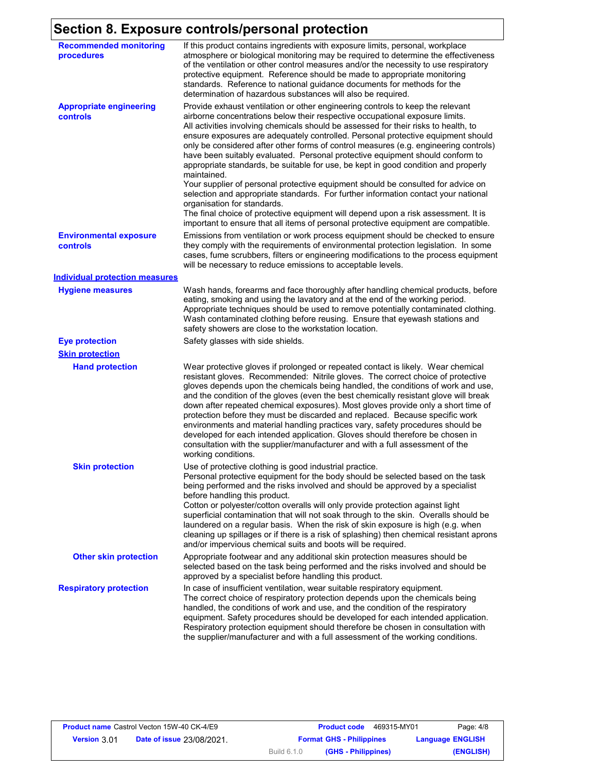## **Section 8. Exposure controls/personal protection**

| <b>Recommended monitoring</b><br>procedures | If this product contains ingredients with exposure limits, personal, workplace<br>atmosphere or biological monitoring may be required to determine the effectiveness<br>of the ventilation or other control measures and/or the necessity to use respiratory<br>protective equipment. Reference should be made to appropriate monitoring<br>standards. Reference to national guidance documents for methods for the<br>determination of hazardous substances will also be required.                                                                                                                                                                                                                                                                                                                                                                                                                                                                                                                           |
|---------------------------------------------|---------------------------------------------------------------------------------------------------------------------------------------------------------------------------------------------------------------------------------------------------------------------------------------------------------------------------------------------------------------------------------------------------------------------------------------------------------------------------------------------------------------------------------------------------------------------------------------------------------------------------------------------------------------------------------------------------------------------------------------------------------------------------------------------------------------------------------------------------------------------------------------------------------------------------------------------------------------------------------------------------------------|
| <b>Appropriate engineering</b><br>controls  | Provide exhaust ventilation or other engineering controls to keep the relevant<br>airborne concentrations below their respective occupational exposure limits.<br>All activities involving chemicals should be assessed for their risks to health, to<br>ensure exposures are adequately controlled. Personal protective equipment should<br>only be considered after other forms of control measures (e.g. engineering controls)<br>have been suitably evaluated. Personal protective equipment should conform to<br>appropriate standards, be suitable for use, be kept in good condition and properly<br>maintained.<br>Your supplier of personal protective equipment should be consulted for advice on<br>selection and appropriate standards. For further information contact your national<br>organisation for standards.<br>The final choice of protective equipment will depend upon a risk assessment. It is<br>important to ensure that all items of personal protective equipment are compatible. |
| <b>Environmental exposure</b><br>controls   | Emissions from ventilation or work process equipment should be checked to ensure<br>they comply with the requirements of environmental protection legislation. In some<br>cases, fume scrubbers, filters or engineering modifications to the process equipment<br>will be necessary to reduce emissions to acceptable levels.                                                                                                                                                                                                                                                                                                                                                                                                                                                                                                                                                                                                                                                                                 |
| <b>Individual protection measures</b>       |                                                                                                                                                                                                                                                                                                                                                                                                                                                                                                                                                                                                                                                                                                                                                                                                                                                                                                                                                                                                               |
| <b>Hygiene measures</b>                     | Wash hands, forearms and face thoroughly after handling chemical products, before<br>eating, smoking and using the lavatory and at the end of the working period.<br>Appropriate techniques should be used to remove potentially contaminated clothing.<br>Wash contaminated clothing before reusing. Ensure that eyewash stations and<br>safety showers are close to the workstation location.                                                                                                                                                                                                                                                                                                                                                                                                                                                                                                                                                                                                               |
| <b>Eye protection</b>                       | Safety glasses with side shields.                                                                                                                                                                                                                                                                                                                                                                                                                                                                                                                                                                                                                                                                                                                                                                                                                                                                                                                                                                             |
| <b>Skin protection</b>                      |                                                                                                                                                                                                                                                                                                                                                                                                                                                                                                                                                                                                                                                                                                                                                                                                                                                                                                                                                                                                               |
| <b>Hand protection</b>                      | Wear protective gloves if prolonged or repeated contact is likely. Wear chemical<br>resistant gloves. Recommended: Nitrile gloves. The correct choice of protective<br>gloves depends upon the chemicals being handled, the conditions of work and use,<br>and the condition of the gloves (even the best chemically resistant glove will break<br>down after repeated chemical exposures). Most gloves provide only a short time of<br>protection before they must be discarded and replaced. Because specific work<br>environments and material handling practices vary, safety procedures should be<br>developed for each intended application. Gloves should therefore be chosen in<br>consultation with the supplier/manufacturer and with a full assessment of the<br>working conditions.                                                                                                                                                                                                               |
| <b>Skin protection</b>                      | Use of protective clothing is good industrial practice.<br>Personal protective equipment for the body should be selected based on the task<br>being performed and the risks involved and should be approved by a specialist<br>before handling this product.<br>Cotton or polyester/cotton overalls will only provide protection against light<br>superficial contamination that will not soak through to the skin. Overalls should be<br>laundered on a regular basis. When the risk of skin exposure is high (e.g. when<br>cleaning up spillages or if there is a risk of splashing) then chemical resistant aprons<br>and/or impervious chemical suits and boots will be required.                                                                                                                                                                                                                                                                                                                         |
| <b>Other skin protection</b>                | Appropriate footwear and any additional skin protection measures should be<br>selected based on the task being performed and the risks involved and should be<br>approved by a specialist before handling this product.                                                                                                                                                                                                                                                                                                                                                                                                                                                                                                                                                                                                                                                                                                                                                                                       |
| <b>Respiratory protection</b>               | In case of insufficient ventilation, wear suitable respiratory equipment.<br>The correct choice of respiratory protection depends upon the chemicals being<br>handled, the conditions of work and use, and the condition of the respiratory<br>equipment. Safety procedures should be developed for each intended application.<br>Respiratory protection equipment should therefore be chosen in consultation with<br>the supplier/manufacturer and with a full assessment of the working conditions.                                                                                                                                                                                                                                                                                                                                                                                                                                                                                                         |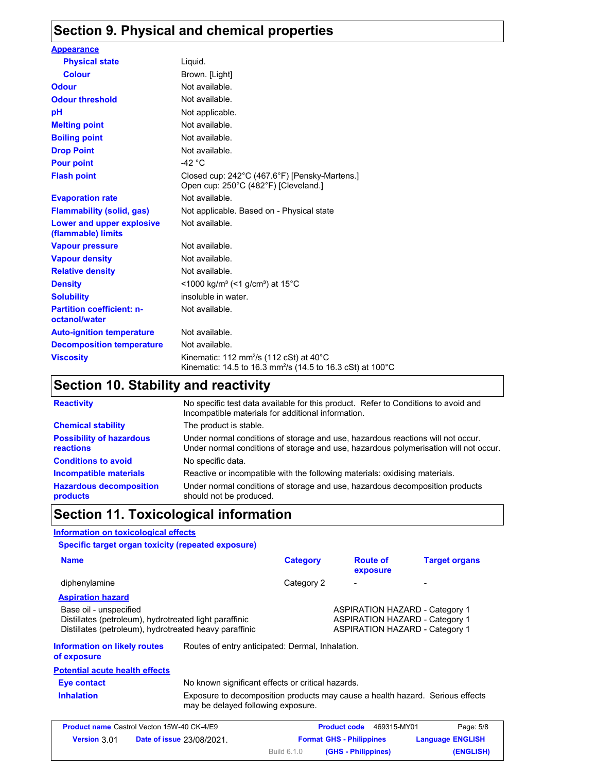## **Section 9. Physical and chemical properties**

| <b>Appearance</b>                                 |                                                                                                                                          |
|---------------------------------------------------|------------------------------------------------------------------------------------------------------------------------------------------|
| <b>Physical state</b>                             | Liquid.                                                                                                                                  |
| <b>Colour</b>                                     | Brown. [Light]                                                                                                                           |
| <b>Odour</b>                                      | Not available.                                                                                                                           |
| <b>Odour threshold</b>                            | Not available.                                                                                                                           |
| рH                                                | Not applicable.                                                                                                                          |
| <b>Melting point</b>                              | Not available.                                                                                                                           |
| <b>Boiling point</b>                              | Not available.                                                                                                                           |
| <b>Drop Point</b>                                 | Not available.                                                                                                                           |
| <b>Pour point</b>                                 | $-42$ °C                                                                                                                                 |
| <b>Flash point</b>                                | Closed cup: 242°C (467.6°F) [Pensky-Martens.]<br>Open cup: 250°C (482°F) [Cleveland.]                                                    |
| <b>Evaporation rate</b>                           | Not available.                                                                                                                           |
| <b>Flammability (solid, gas)</b>                  | Not applicable. Based on - Physical state                                                                                                |
| Lower and upper explosive<br>(flammable) limits   | Not available.                                                                                                                           |
| <b>Vapour pressure</b>                            | Not available.                                                                                                                           |
| <b>Vapour density</b>                             | Not available.                                                                                                                           |
| <b>Relative density</b>                           | Not available.                                                                                                                           |
| <b>Density</b>                                    | $\leq$ 1000 kg/m <sup>3</sup> (<1 g/cm <sup>3</sup> ) at 15 <sup>°</sup> C                                                               |
| <b>Solubility</b>                                 | insoluble in water.                                                                                                                      |
| <b>Partition coefficient: n-</b><br>octanol/water | Not available.                                                                                                                           |
| <b>Auto-ignition temperature</b>                  | Not available.                                                                                                                           |
| <b>Decomposition temperature</b>                  | Not available.                                                                                                                           |
| <b>Viscosity</b>                                  | Kinematic: 112 mm <sup>2</sup> /s (112 cSt) at 40 $^{\circ}$ C<br>Kinematic: 14.5 to 16.3 mm <sup>2</sup> /s (14.5 to 16.3 cSt) at 100°C |

## **Section 10. Stability and reactivity**

| <b>Reactivity</b>                            | No specific test data available for this product. Refer to Conditions to avoid and<br>Incompatible materials for additional information.                                |
|----------------------------------------------|-------------------------------------------------------------------------------------------------------------------------------------------------------------------------|
| <b>Chemical stability</b>                    | The product is stable.                                                                                                                                                  |
| <b>Possibility of hazardous</b><br>reactions | Under normal conditions of storage and use, hazardous reactions will not occur.<br>Under normal conditions of storage and use, hazardous polymerisation will not occur. |
| <b>Conditions to avoid</b>                   | No specific data.                                                                                                                                                       |
| Incompatible materials                       | Reactive or incompatible with the following materials: oxidising materials.                                                                                             |
| <b>Hazardous decomposition</b><br>products   | Under normal conditions of storage and use, hazardous decomposition products<br>should not be produced.                                                                 |

### **Section 11. Toxicological information**

#### **Information on toxicological effects**

#### **Specific target organ toxicity (repeated exposure)**

| <b>Name</b>                                                                                                                                |                                                                                                                     | <b>Category</b>                                                                                                         | <b>Route of</b><br>exposure | <b>Target organs</b> |
|--------------------------------------------------------------------------------------------------------------------------------------------|---------------------------------------------------------------------------------------------------------------------|-------------------------------------------------------------------------------------------------------------------------|-----------------------------|----------------------|
| diphenylamine                                                                                                                              |                                                                                                                     | Category 2                                                                                                              |                             |                      |
| <b>Aspiration hazard</b>                                                                                                                   |                                                                                                                     |                                                                                                                         |                             |                      |
| Base oil - unspecified<br>Distillates (petroleum), hydrotreated light paraffinic<br>Distillates (petroleum), hydrotreated heavy paraffinic |                                                                                                                     | <b>ASPIRATION HAZARD - Category 1</b><br><b>ASPIRATION HAZARD - Category 1</b><br><b>ASPIRATION HAZARD - Category 1</b> |                             |                      |
| <b>Information on likely routes</b><br>of exposure                                                                                         | Routes of entry anticipated: Dermal, Inhalation.                                                                    |                                                                                                                         |                             |                      |
| <b>Potential acute health effects</b>                                                                                                      |                                                                                                                     |                                                                                                                         |                             |                      |
| Eye contact                                                                                                                                | No known significant effects or critical hazards.                                                                   |                                                                                                                         |                             |                      |
| <b>Inhalation</b>                                                                                                                          | Exposure to decomposition products may cause a health hazard. Serious effects<br>may be delayed following exposure. |                                                                                                                         |                             |                      |

|                     | <b>Product name Castrol Vecton 15W-40 CK-4/E9</b> |                    | <b>Product code</b>             | 469315-MY01 | Page: 5/8               |
|---------------------|---------------------------------------------------|--------------------|---------------------------------|-------------|-------------------------|
| <b>Version 3.01</b> | <b>Date of issue 23/08/2021.</b>                  |                    | <b>Format GHS - Philippines</b> |             | <b>Language ENGLISH</b> |
|                     |                                                   | <b>Build 6.1.0</b> | (GHS - Philippines)             |             | (ENGLISH)               |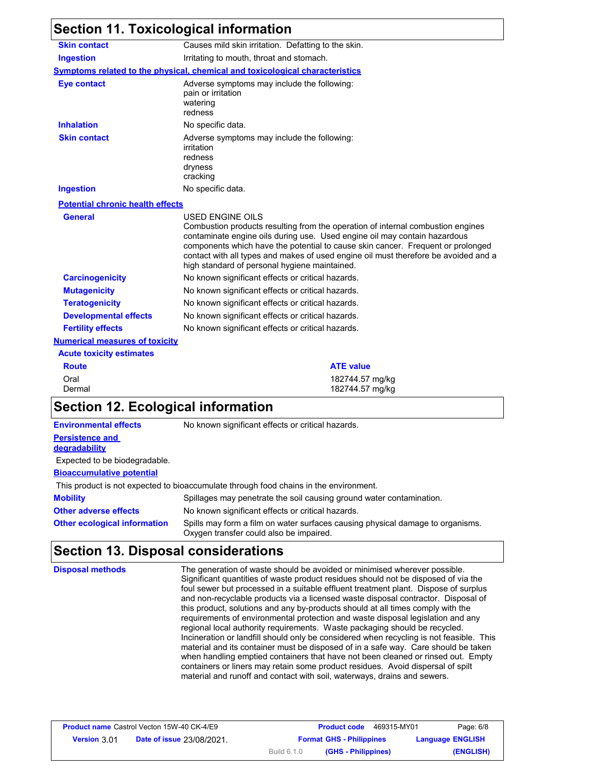#### **Section 11. Toxicological information Numerical measures of toxicity Acute toxicity estimates** Oral 182744.57 mg/kg Dermal 182744.57 mg/kg **Ingestion** Irritating to mouth, throat and stomach. **Skin contact** Causes mild skin irritation. Defatting to the skin. **Symptoms related to the physical, chemical and toxicological characteristics Skin contact Ingestion Inhalation** No specific data. No specific data. Adverse symptoms may include the following: irritation redness dryness cracking **Eye contact Adverse symptoms may include the following:** pain or irritation watering redness **General** USED ENGINE OILS Combustion products resulting from the operation of internal combustion engines contaminate engine oils during use. Used engine oil may contain hazardous components which have the potential to cause skin cancer. Frequent or prolonged contact with all types and makes of used engine oil must therefore be avoided and a high standard of personal hygiene maintained. **Carcinogenicity Mutagenicity Teratogenicity Developmental effects Fertility effects Potential chronic health effects** No known significant effects or critical hazards. No known significant effects or critical hazards. No known significant effects or critical hazards. No known significant effects or critical hazards. No known significant effects or critical hazards. **Route ATE value Section 12. Ecological information**

**Environmental effects** No known significant effects or critical hazards.

#### **Persistence and degradability**

Expected to be biodegradable.

#### **Bioaccumulative potential**

This product is not expected to bioaccumulate through food chains in the environment.

**Mobility** Spillages may penetrate the soil causing ground water contamination.

**Other adverse effects Other ecological information** Spills may form a film on water surfaces causing physical damage to organisms. Oxygen transfer could also be impaired. No known significant effects or critical hazards.

### **Section 13. Disposal considerations**

**Disposal methods** The generation of waste should be avoided or minimised wherever possible. Significant quantities of waste product residues should not be disposed of via the foul sewer but processed in a suitable effluent treatment plant. Dispose of surplus and non-recyclable products via a licensed waste disposal contractor. Disposal of this product, solutions and any by-products should at all times comply with the requirements of environmental protection and waste disposal legislation and any regional local authority requirements. Waste packaging should be recycled. Incineration or landfill should only be considered when recycling is not feasible. This material and its container must be disposed of in a safe way. Care should be taken when handling emptied containers that have not been cleaned or rinsed out. Empty containers or liners may retain some product residues. Avoid dispersal of spilt material and runoff and contact with soil, waterways, drains and sewers.

| <b>Product name Castrol Vecton 15W-40 CK-4/E9</b> |                                  |                                 | <b>Product code</b><br>469315-MY01 | Page: 6/8               |
|---------------------------------------------------|----------------------------------|---------------------------------|------------------------------------|-------------------------|
| <b>Version 3.01</b>                               | <b>Date of issue 23/08/2021.</b> | <b>Format GHS - Philippines</b> |                                    | <b>Language ENGLISH</b> |
|                                                   |                                  | <b>Build 6.1.0</b>              | (GHS - Philippines)                | (ENGLISH)               |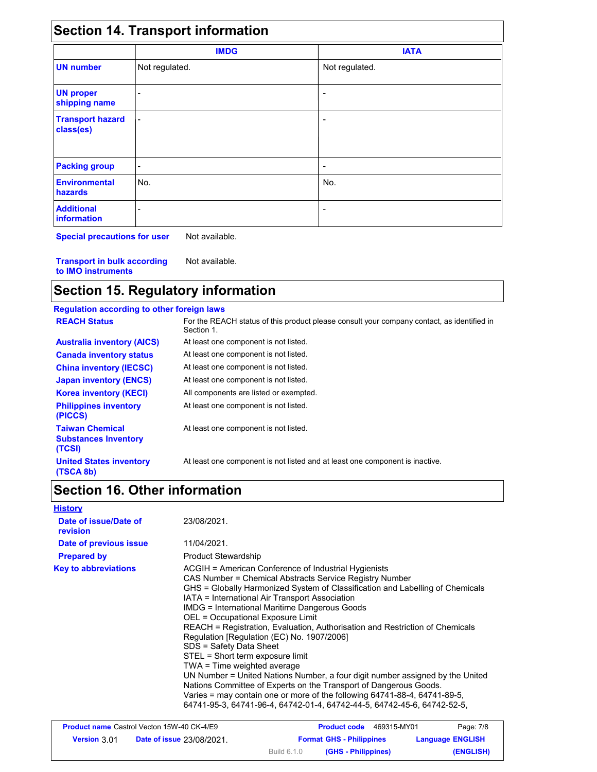|                                      | <b>IMDG</b>    | <b>IATA</b>    |  |
|--------------------------------------|----------------|----------------|--|
| <b>UN number</b>                     | Not regulated. | Not regulated. |  |
| <b>UN proper</b><br>shipping name    |                |                |  |
| <b>Transport hazard</b><br>class(es) |                |                |  |
| <b>Packing group</b>                 | -              | -              |  |
| <b>Environmental</b><br>hazards      | No.            | No.            |  |
| <b>Additional</b><br>information     |                | -              |  |

**Special precautions for user** Not available.

**Transport in bulk according to IMO instruments** Not available.

## **Section 15. Regulatory information**

| <b>Regulation according to other foreign laws</b>               |                                                                                                          |
|-----------------------------------------------------------------|----------------------------------------------------------------------------------------------------------|
| <b>REACH Status</b>                                             | For the REACH status of this product please consult your company contact, as identified in<br>Section 1. |
| <b>Australia inventory (AICS)</b>                               | At least one component is not listed.                                                                    |
| <b>Canada inventory status</b>                                  | At least one component is not listed.                                                                    |
| <b>China inventory (IECSC)</b>                                  | At least one component is not listed.                                                                    |
| <b>Japan inventory (ENCS)</b>                                   | At least one component is not listed.                                                                    |
| <b>Korea inventory (KECI)</b>                                   | All components are listed or exempted.                                                                   |
| <b>Philippines inventory</b><br>(PICCS)                         | At least one component is not listed.                                                                    |
| <b>Taiwan Chemical</b><br><b>Substances Inventory</b><br>(TCSI) | At least one component is not listed.                                                                    |
| <b>United States inventory</b><br>(TSCA 8b)                     | At least one component is not listed and at least one component is inactive.                             |

## **Section 16. Other information**

| <b>History</b>                    |                                                                                                                                                                                                                                                                                                                                                                                                                                                                                                                                                                                                                                                                                                                                                                                                                                                                                           |
|-----------------------------------|-------------------------------------------------------------------------------------------------------------------------------------------------------------------------------------------------------------------------------------------------------------------------------------------------------------------------------------------------------------------------------------------------------------------------------------------------------------------------------------------------------------------------------------------------------------------------------------------------------------------------------------------------------------------------------------------------------------------------------------------------------------------------------------------------------------------------------------------------------------------------------------------|
| Date of issue/Date of<br>revision | 23/08/2021.                                                                                                                                                                                                                                                                                                                                                                                                                                                                                                                                                                                                                                                                                                                                                                                                                                                                               |
| Date of previous issue            | 11/04/2021.                                                                                                                                                                                                                                                                                                                                                                                                                                                                                                                                                                                                                                                                                                                                                                                                                                                                               |
| <b>Prepared by</b>                | <b>Product Stewardship</b>                                                                                                                                                                                                                                                                                                                                                                                                                                                                                                                                                                                                                                                                                                                                                                                                                                                                |
| <b>Key to abbreviations</b>       | ACGIH = American Conference of Industrial Hygienists<br>CAS Number = Chemical Abstracts Service Registry Number<br>GHS = Globally Harmonized System of Classification and Labelling of Chemicals<br>IATA = International Air Transport Association<br><b>IMDG = International Maritime Dangerous Goods</b><br>OEL = Occupational Exposure Limit<br>REACH = Registration, Evaluation, Authorisation and Restriction of Chemicals<br>Regulation [Regulation (EC) No. 1907/2006]<br>SDS = Safety Data Sheet<br>STEL = Short term exposure limit<br>TWA = Time weighted average<br>UN Number = United Nations Number, a four digit number assigned by the United<br>Nations Committee of Experts on the Transport of Dangerous Goods.<br>Varies = may contain one or more of the following 64741-88-4, 64741-89-5.<br>64741-95-3, 64741-96-4, 64742-01-4, 64742-44-5, 64742-45-6, 64742-52-5, |

| <b>Product name Castrol Vecton 15W-40 CK-4/E9</b> |                                  |                    | 469315-MY01<br><b>Product code</b> | Page: 7/8               |
|---------------------------------------------------|----------------------------------|--------------------|------------------------------------|-------------------------|
| <b>Version 3.01</b>                               | <b>Date of issue 23/08/2021.</b> |                    | <b>Format GHS - Philippines</b>    | <b>Language ENGLISH</b> |
|                                                   |                                  | <b>Build 6.1.0</b> | (GHS - Philippines)                | (ENGLISH)               |